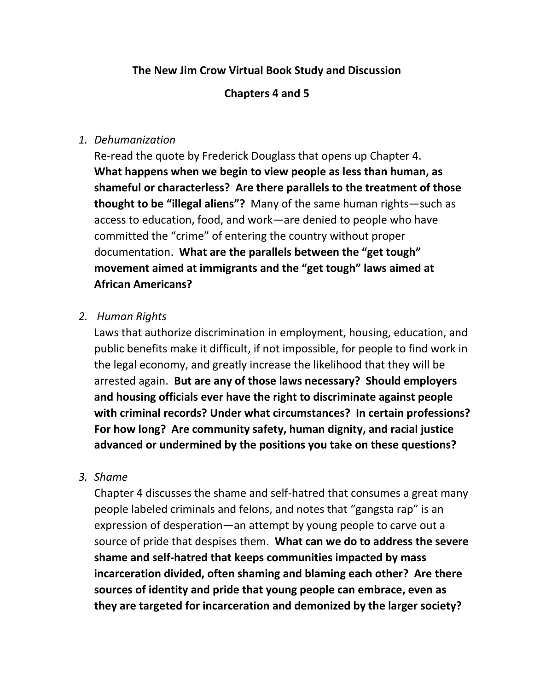# **The New Jim Crow Virtual Book Study and Discussion**

### **Chapters 4 and 5**

### *1. Dehumanization*

Re-read the quote by Frederick Douglass that opens up Chapter 4. **What happens when we begin to view people as less than human, as shameful or characterless? Are there parallels to the treatment of those thought to be "illegal aliens"?** Many of the same human rights—such as access to education, food, and work—are denied to people who have committed the "crime" of entering the country without proper documentation. **What are the parallels between the "get tough" movement aimed at immigrants and the "get tough" laws aimed at African Americans?**

### *2. Human Rights*

Laws that authorize discrimination in employment, housing, education, and public benefits make it difficult, if not impossible, for people to find work in the legal economy, and greatly increase the likelihood that they will be arrested again. **But are any of those laws necessary? Should employers and housing officials ever have the right to discriminate against people with criminal records? Under what circumstances? In certain professions? For how long? Are community safety, human dignity, and racial justice advanced or undermined by the positions you take on these questions?**

#### *3. Shame*

Chapter 4 discusses the shame and self-hatred that consumes a great many people labeled criminals and felons, and notes that "gangsta rap" is an expression of desperation—an attempt by young people to carve out a source of pride that despises them. **What can we do to address the severe shame and self-hatred that keeps communities impacted by mass incarceration divided, often shaming and blaming each other? Are there sources of identity and pride that young people can embrace, even as they are targeted for incarceration and demonized by the larger society?**